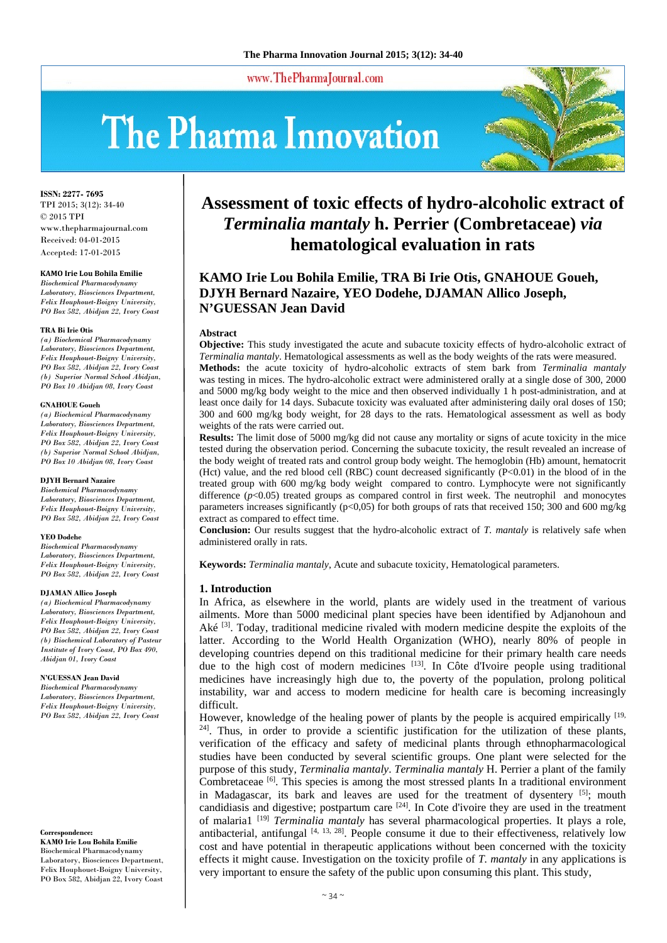www.ThePharmaJournal.com

# The Pharma Innovation



**ISSN: 2277- 7695** TPI 2015; 3(12): 34-40 © 2015 TPI www.thepharmajournal.com Received: 04-01-2015 Accepted: 17-01-2015

# **KAMO Irie Lou Bohila Emilie**

*Biochemical Pharmacodynamy Laboratory, Biosciences Department, Felix Houphouet-Boigny University, PO Box 582, Abidjan 22, Ivory Coast* 

#### **TRA Bi Irie Otis**

*(a) Biochemical Pharmacodynamy Laboratory, Biosciences Department, Felix Houphouet-Boigny University, PO Box 582, Abidjan 22, Ivory Coast (b) Superior Normal School Abidjan, PO Box 10 Abidjan 08, Ivory Coast* 

#### **GNAHOUE Goueh**

*(a) Biochemical Pharmacodynamy Laboratory, Biosciences Department, Felix Houphouet-Boigny University, PO Box 582, Abidjan 22, Ivory Coast (b) Superior Normal School Abidjan, PO Box 10 Abidjan 08, Ivory Coast* 

#### **DJYH Bernard Nazaire**

*Biochemical Pharmacodynamy Laboratory, Biosciences Department, Felix Houphouet-Boigny University, PO Box 582, Abidjan 22, Ivory Coast* 

#### **YEO Dodehe**

*Biochemical Pharmacodynamy Laboratory, Biosciences Department, Felix Houphouet-Boigny University, PO Box 582, Abidjan 22, Ivory Coast* 

#### **DJAMAN Allico Joseph**

*(a) Biochemical Pharmacodynamy Laboratory, Biosciences Department, Felix Houphouet-Boigny University, PO Box 582, Abidjan 22, Ivory Coast (b) Biochemical Laboratory of Pasteur Institute of Ivory Coast, PO Box 490, Abidjan 01, Ivory Coast* 

#### **N'GUESSAN Jean David**

*Biochemical Pharmacodynamy Laboratory, Biosciences Department, Felix Houphouet-Boigny University, PO Box 582, Abidjan 22, Ivory Coast*

**Correspondence:** 

**KAMO Irie Lou Bohila Emilie**  Biochemical Pharmacodynamy Laboratory, Biosciences Department, Felix Houphouet-Boigny University, PO Box 582, Abidjan 22, Ivory Coast

# **Assessment of toxic effects of hydro-alcoholic extract of**  *Terminalia mantaly* **h. Perrier (Combretaceae)** *via* **hematological evaluation in rats**

# **KAMO Irie Lou Bohila Emilie, TRA Bi Irie Otis, GNAHOUE Goueh, DJYH Bernard Nazaire, YEO Dodehe, DJAMAN Allico Joseph, N'GUESSAN Jean David**

#### **Abstract**

**Objective:** This study investigated the acute and subacute toxicity effects of hydro-alcoholic extract of *Terminalia mantaly*. Hematological assessments as well as the body weights of the rats were measured. **Methods:** the acute toxicity of hydro-alcoholic extracts of stem bark from *Terminalia mantaly*  was testing in mices. The hydro-alcoholic extract were administered orally at a single dose of 300, 2000 and 5000 mg/kg body weight to the mice and then observed individually 1 h post-administration, and at least once daily for 14 days. Subacute toxicity was evaluated after administering daily oral doses of 150; 300 and 600 mg/kg body weight, for 28 days to the rats. Hematological assessment as well as body weights of the rats were carried out.

**Results:** The limit dose of 5000 mg/kg did not cause any mortality or signs of acute toxicity in the mice tested during the observation period. Concerning the subacute toxicity, the result revealed an increase of the body weight of treated rats and control group body weight. The hemoglobin (Hb) amount, hematocrit (Hct) value, and the red blood cell (RBC) count decreased significantly (P<0.01) in the blood of in the treated group with 600 mg/kg body weight compared to contro. Lymphocyte were not significantly difference  $(p<0.05)$  treated groups as compared control in first week. The neutrophil and monocytes parameters increases significantly (p<0,05) for both groups of rats that received 150; 300 and 600 mg/kg extract as compared to effect time.

**Conclusion:** Our results suggest that the hydro-alcoholic extract of *T. mantaly* is relatively safe when administered orally in rats.

**Keywords:** *Terminalia mantaly*, Acute and subacute toxicity, Hematological parameters.

# **1. Introduction**

In Africa, as elsewhere in the world, plants are widely used in the treatment of various ailments. More than 5000 medicinal plant species have been identified by Adjanohoun and Aké  $[3]$ . Today, traditional medicine rivaled with modern medicine despite the exploits of the latter. According to the World Health Organization (WHO), nearly 80% of people in developing countries depend on this traditional medicine for their primary health care needs due to the high cost of modern medicines [13]. In Côte d'Ivoire people using traditional medicines have increasingly high due to, the poverty of the population, prolong political instability, war and access to modern medicine for health care is becoming increasingly difficult.

However, knowledge of the healing power of plants by the people is acquired empirically [19, <sup>24]</sup>. Thus, in order to provide a scientific justification for the utilization of these plants, verification of the efficacy and safety of medicinal plants through ethnopharmacological studies have been conducted by several scientific groups. One plant were selected for the purpose of this study, *Terminalia mantaly*. *Terminalia mantaly* H. Perrier a plant of the family Combretaceae  $\left[6\right]$ . This species is among the most stressed plants In a traditional environment in Madagascar, its bark and leaves are used for the treatment of dysentery  $[5]$ ; mouth candidiasis and digestive; postpartum care  $[24]$ . In Cote d'ivoire they are used in the treatment of malaria1 [19] *Terminalia mantaly* has several pharmacological properties. It plays a role, antibacterial, antifungal  $[4, 13, 28]$ . People consume it due to their effectiveness, relatively low cost and have potential in therapeutic applications without been concerned with the toxicity effects it might cause. Investigation on the toxicity profile of *T. mantaly* in any applications is very important to ensure the safety of the public upon consuming this plant. This study,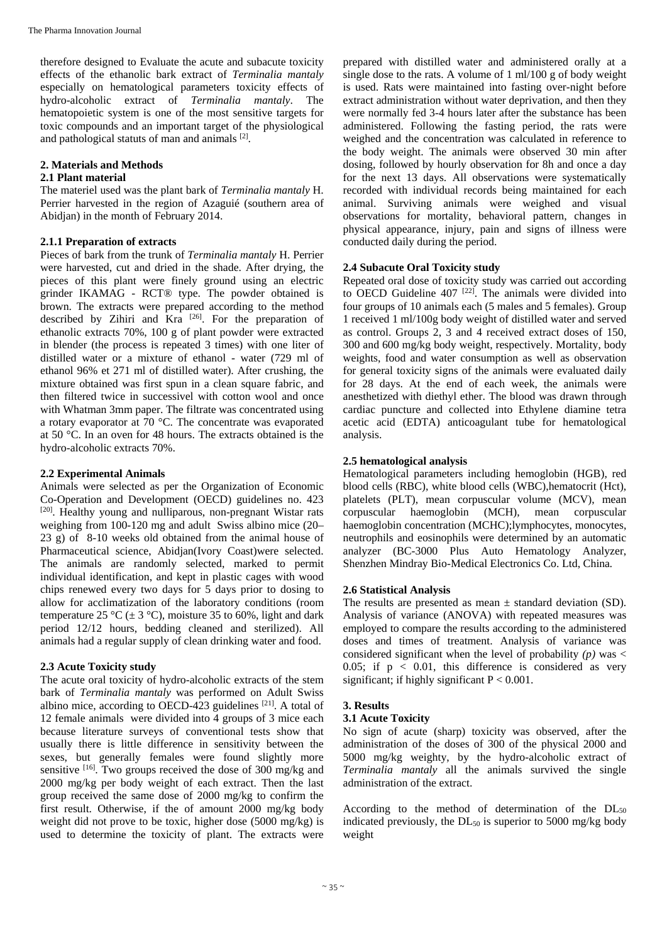therefore designed to Evaluate the acute and subacute toxicity effects of the ethanolic bark extract of *Terminalia mantaly* especially on hematological parameters toxicity effects of hydro-alcoholic extract of *Terminalia mantaly*. The hematopoietic system is one of the most sensitive targets for toxic compounds and an important target of the physiological and pathological statuts of man and animals [2].

# **2. Materials and Methods**

# **2.1 Plant material**

The materiel used was the plant bark of *Terminalia mantaly* H. Perrier harvested in the region of Azaguié (southern area of Abidjan) in the month of February 2014.

# **2.1.1 Preparation of extracts**

Pieces of bark from the trunk of *Terminalia mantaly* H. Perrier were harvested, cut and dried in the shade. After drying, the pieces of this plant were finely ground using an electric grinder IKAMAG - RCT® type. The powder obtained is brown. The extracts were prepared according to the method described by Zihiri and Kra [26]. For the preparation of ethanolic extracts 70%, 100 g of plant powder were extracted in blender (the process is repeated 3 times) with one liter of distilled water or a mixture of ethanol - water (729 ml of ethanol 96% et 271 ml of distilled water). After crushing, the mixture obtained was first spun in a clean square fabric, and then filtered twice in successivel with cotton wool and once with Whatman 3mm paper. The filtrate was concentrated using a rotary evaporator at 70 °C. The concentrate was evaporated at 50 °C. In an oven for 48 hours. The extracts obtained is the hydro-alcoholic extracts 70%.

# **2.2 Experimental Animals**

Animals were selected as per the Organization of Economic Co-Operation and Development (OECD) guidelines no. 423 [20]. Healthy young and nulliparous, non-pregnant Wistar rats weighing from 100-120 mg and adult Swiss albino mice (20– 23 g) of 8-10 weeks old obtained from the animal house of Pharmaceutical science, Abidjan(Ivory Coast)were selected. The animals are randomly selected, marked to permit individual identification, and kept in plastic cages with wood chips renewed every two days for 5 days prior to dosing to allow for acclimatization of the laboratory conditions (room temperature 25 °C ( $\pm$  3 °C), moisture 35 to 60%, light and dark period 12/12 hours, bedding cleaned and sterilized). All animals had a regular supply of clean drinking water and food.

# **2.3 Acute Toxicity study**

The acute oral toxicity of hydro-alcoholic extracts of the stem bark of *Terminalia mantaly* was performed on Adult Swiss albino mice, according to OECD-423 guidelines  $[21]$ . A total of 12 female animals were divided into 4 groups of 3 mice each because literature surveys of conventional tests show that usually there is little difference in sensitivity between the sexes, but generally females were found slightly more sensitive  $[16]$ . Two groups received the dose of 300 mg/kg and 2000 mg/kg per body weight of each extract. Then the last group received the same dose of 2000 mg/kg to confirm the first result. Otherwise, if the of amount 2000 mg/kg body weight did not prove to be toxic, higher dose (5000 mg/kg) is used to determine the toxicity of plant. The extracts were

prepared with distilled water and administered orally at a single dose to the rats. A volume of 1 ml/100 g of body weight is used. Rats were maintained into fasting over-night before extract administration without water deprivation, and then they were normally fed 3-4 hours later after the substance has been administered. Following the fasting period, the rats were weighed and the concentration was calculated in reference to the body weight. The animals were observed 30 min after dosing, followed by hourly observation for 8h and once a day for the next 13 days. All observations were systematically recorded with individual records being maintained for each animal. Surviving animals were weighed and visual observations for mortality, behavioral pattern, changes in physical appearance, injury, pain and signs of illness were conducted daily during the period.

# **2.4 Subacute Oral Toxicity study**

Repeated oral dose of toxicity study was carried out according to OECD Guideline  $407$ <sup>[22]</sup>. The animals were divided into four groups of 10 animals each (5 males and 5 females). Group 1 received 1 ml/100g body weight of distilled water and served as control. Groups 2, 3 and 4 received extract doses of 150, 300 and 600 mg/kg body weight, respectively. Mortality, body weights, food and water consumption as well as observation for general toxicity signs of the animals were evaluated daily for 28 days. At the end of each week, the animals were anesthetized with diethyl ether. The blood was drawn through cardiac puncture and collected into Ethylene diamine tetra acetic acid (EDTA) anticoagulant tube for hematological analysis.

# **2.5 hematological analysis**

Hematological parameters including hemoglobin (HGB), red blood cells (RBC), white blood cells (WBC),hematocrit (Hct), platelets (PLT), mean corpuscular volume (MCV), mean corpuscular haemoglobin (MCH), mean corpuscular haemoglobin concentration (MCHC);lymphocytes, monocytes, neutrophils and eosinophils were determined by an automatic analyzer (BC-3000 Plus Auto Hematology Analyzer, Shenzhen Mindray Bio-Medical Electronics Co. Ltd, China*.*

# **2.6 Statistical Analysis**

The results are presented as mean  $\pm$  standard deviation (SD). Analysis of variance (ANOVA) with repeated measures was employed to compare the results according to the administered doses and times of treatment. Analysis of variance was considered significant when the level of probability  $(p)$  was  $\lt$ 0.05; if  $p < 0.01$ , this difference is considered as very significant; if highly significant  $P < 0.001$ .

# **3. Results**

# **3.1 Acute Toxicity**

No sign of acute (sharp) toxicity was observed, after the administration of the doses of 300 of the physical 2000 and 5000 mg/kg weighty, by the hydro-alcoholic extract of *Terminalia mantaly* all the animals survived the single administration of the extract.

According to the method of determination of the  $DL_{50}$ indicated previously, the  $DL_{50}$  is superior to 5000 mg/kg body weight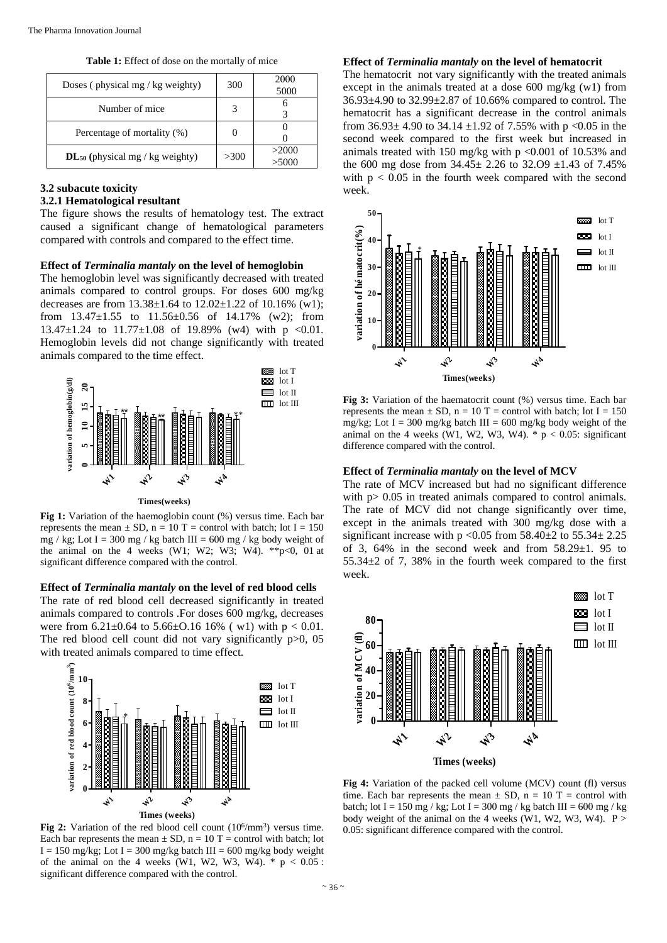**Table 1:** Effect of dose on the mortally of mice

| Doses (physical mg / $kg$ weighty)   | 300  | 2000<br>5000 |
|--------------------------------------|------|--------------|
| Number of mice                       |      |              |
| Percentage of mortality (%)          |      |              |
| $DL_{50}$ (physical mg / kg weighty) | >300 | >2000        |

# **3.2 subacute toxicity**

# **3.2.1 Hematological resultant**

The figure shows the results of hematology test. The extract caused a significant change of hematological parameters compared with controls and compared to the effect time.

## **Effect of** *Terminalia mantaly* **on the level of hemoglobin**

The hemoglobin level was significantly decreased with treated animals compared to control groups. For doses 600 mg/kg decreases are from 13.38±1.64 to 12.02±1.22 of 10.16% (w1); from  $13.47 \pm 1.55$  to  $11.56 \pm 0.56$  of  $14.17\%$  (w2); from 13.47 $\pm$ 1.24 to 11.77 $\pm$ 1.08 of 19.89% (w4) with p <0.01. Hemoglobin levels did not change significantly with treated animals compared to the time effect.



**Times(weeks)**

**Fig 1:** Variation of the haemoglobin count (%) versus time. Each bar represents the mean  $\pm$  SD, n = 10 T = control with batch; lot I = 150 mg / kg; Lot I = 300 mg / kg batch III = 600 mg / kg body weight of the animal on the 4 weeks (W1; W2; W3; W4). \*\*p<0, 01 at significant difference compared with the control.

# **Effect of** *Terminalia mantaly* **on the level of red blood cells**

The rate of red blood cell decreased significantly in treated animals compared to controls .For doses 600 mg/kg, decreases were from  $6.21 \pm 0.64$  to  $5.66 \pm 0.16$  16% (w1) with  $p < 0.01$ . The red blood cell count did not vary significantly p > 0, 05 with treated animals compared to time effect.



Fig 2: Variation of the red blood cell count (10<sup>6</sup>/mm<sup>3</sup>) versus time. Each bar represents the mean  $\pm$  SD, n = 10 T = control with batch; lot  $I = 150$  mg/kg; Lot  $I = 300$  mg/kg batch III = 600 mg/kg body weight of the animal on the 4 weeks (W1, W2, W3, W4).  $*$  p < 0.05 : significant difference compared with the control.

## **Effect of** *Terminalia mantaly* **on the level of hematocrit**

The hematocrit not vary significantly with the treated animals except in the animals treated at a dose 600 mg/kg (w1) from 36.93±4.90 to 32.99±2.87 of 10.66% compared to control. The hematocrit has a significant decrease in the control animals from  $36.93 \pm 4.90$  to  $34.14 \pm 1.92$  of 7.55% with p <0.05 in the second week compared to the first week but increased in animals treated with 150 mg/kg with p <0.001 of 10.53% and the 600 mg dose from  $34.45 \pm 2.26$  to  $32.09 \pm 1.43$  of  $7.45\%$ with  $p < 0.05$  in the fourth week compared with the second week.



**Fig 3:** Variation of the haematocrit count (%) versus time. Each bar represents the mean  $\pm$  SD, n = 10 T = control with batch; lot I = 150 mg/kg; Lot I = 300 mg/kg batch III = 600 mg/kg body weight of the animal on the 4 weeks (W1, W2, W3, W4).  $*$  p < 0.05: significant difference compared with the control.

# **Effect of** *Terminalia mantaly* **on the level of MCV**

The rate of MCV increased but had no significant difference with p > 0.05 in treated animals compared to control animals. The rate of MCV did not change significantly over time, except in the animals treated with 300 mg/kg dose with a significant increase with p <0.05 from  $58.40\pm 2$  to  $55.34\pm 2.25$ of 3, 64% in the second week and from  $58.29 \pm 1$ . 95 to 55.34±2 of 7, 38% in the fourth week compared to the first week.



**Fig 4:** Variation of the packed cell volume (MCV) count (fl) versus time. Each bar represents the mean  $\pm$  SD, n = 10 T = control with batch; lot I = 150 mg / kg; Lot I = 300 mg / kg batch III = 600 mg / kg body weight of the animal on the 4 weeks (W1, W2, W3, W4).  $P >$ 0.05: significant difference compared with the control.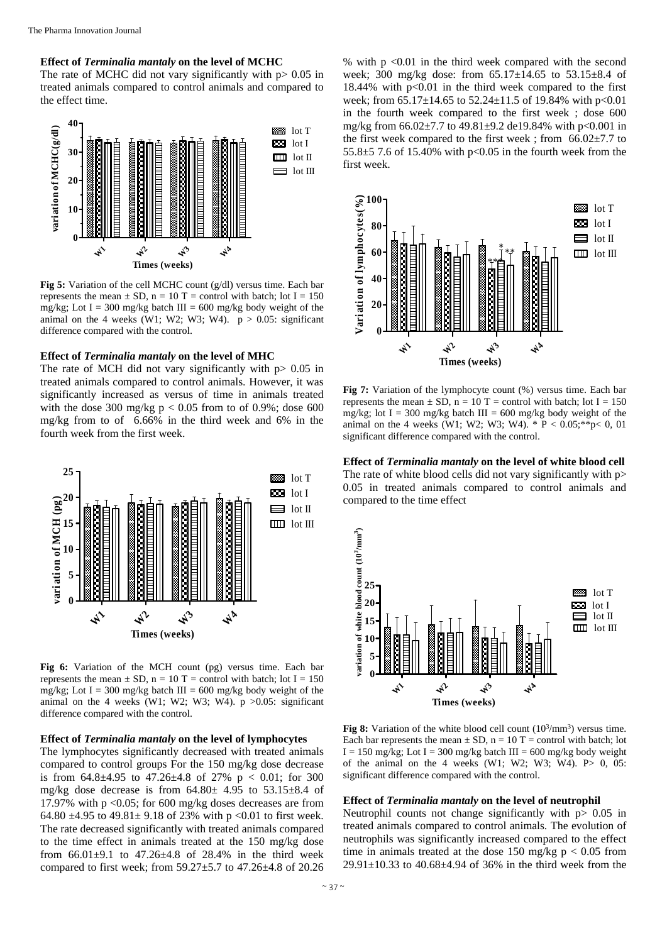## **Effect of** *Terminalia mantaly* **on the level of MCHC**

The rate of MCHC did not vary significantly with  $p > 0.05$  in treated animals compared to control animals and compared to the effect time.



**Fig 5:** Variation of the cell MCHC count (g/dl) versus time. Each bar represents the mean  $\pm$  SD, n = 10 T = control with batch; lot I = 150 mg/kg; Lot I = 300 mg/kg batch III = 600 mg/kg body weight of the animal on the 4 weeks (W1; W2; W3; W4).  $p > 0.05$ : significant difference compared with the control.

#### **Effect of** *Terminalia mantaly* **on the level of MHC**

The rate of MCH did not vary significantly with  $p > 0.05$  in treated animals compared to control animals. However, it was significantly increased as versus of time in animals treated with the dose 300 mg/kg  $p < 0.05$  from to of 0.9%; dose 600 mg/kg from to of 6.66% in the third week and 6% in the fourth week from the first week.



**Fig 6:** Variation of the MCH count (pg) versus time. Each bar represents the mean  $\pm$  SD, n = 10 T = control with batch; lot I = 150 mg/kg; Lot I = 300 mg/kg batch III = 600 mg/kg body weight of the animal on the 4 weeks (W1; W2; W3; W4).  $p > 0.05$ : significant difference compared with the control.

## **Effect of** *Terminalia mantaly* **on the level of lymphocytes**

The lymphocytes significantly decreased with treated animals compared to control groups For the 150 mg/kg dose decrease is from  $64.8\pm4.95$  to  $47.26\pm4.8$  of  $27\%$  p < 0.01; for 300 mg/kg dose decrease is from  $64.80 \pm 4.95$  to  $53.15 \pm 8.4$  of 17.97% with p <0.05; for 600 mg/kg doses decreases are from 64.80  $\pm$ 4.95 to 49.81 $\pm$  9.18 of 23% with p <0.01 to first week. The rate decreased significantly with treated animals compared to the time effect in animals treated at the 150 mg/kg dose from  $66.01\pm9.1$  to  $47.26\pm4.8$  of  $28.4\%$  in the third week compared to first week; from 59.27±5.7 to 47.26±4.8 of 20.26

% with p <0.01 in the third week compared with the second week; 300 mg/kg dose: from 65.17±14.65 to 53.15±8.4 of 18.44% with  $p<0.01$  in the third week compared to the first week; from 65.17±14.65 to 52.24±11.5 of 19.84% with p<0.01 in the fourth week compared to the first week ; dose 600 mg/kg from 66.02±7.7 to 49.81±9.2 de19.84% with p<0.001 in the first week compared to the first week ; from  $66.02 \pm 7.7$  to 55.8 $\pm$ 5 7.6 of 15.40% with p<0.05 in the fourth week from the first week.



**Fig 7:** Variation of the lymphocyte count (%) versus time. Each bar represents the mean  $\pm$  SD, n = 10 T = control with batch; lot I = 150 mg/kg; lot I = 300 mg/kg batch III = 600 mg/kg body weight of the animal on the 4 weeks (W1; W2; W3; W4).  $* P < 0.05; **p < 0, 01$ significant difference compared with the control.

**Effect of** *Terminalia mantaly* **on the level of white blood cell** The rate of white blood cells did not vary significantly with p 0.05 in treated animals compared to control animals and compared to the time effect



**Fig 8:** Variation of the white blood cell count  $(10^3/\text{mm}^3)$  versus time. Each bar represents the mean  $\pm$  SD, n = 10 T = control with batch; lot I = 150 mg/kg; Lot I = 300 mg/kg batch III = 600 mg/kg body weight of the animal on the 4 weeks (W1; W2; W3; W4).  $P > 0$ , 05: significant difference compared with the control.

# **Effect of** *Terminalia mantaly* **on the level of neutrophil**

Neutrophil counts not change significantly with p> 0.05 in treated animals compared to control animals. The evolution of neutrophils was significantly increased compared to the effect time in animals treated at the dose 150 mg/kg  $p < 0.05$  from 29.91±10.33 to 40.68±4.94 of 36% in the third week from the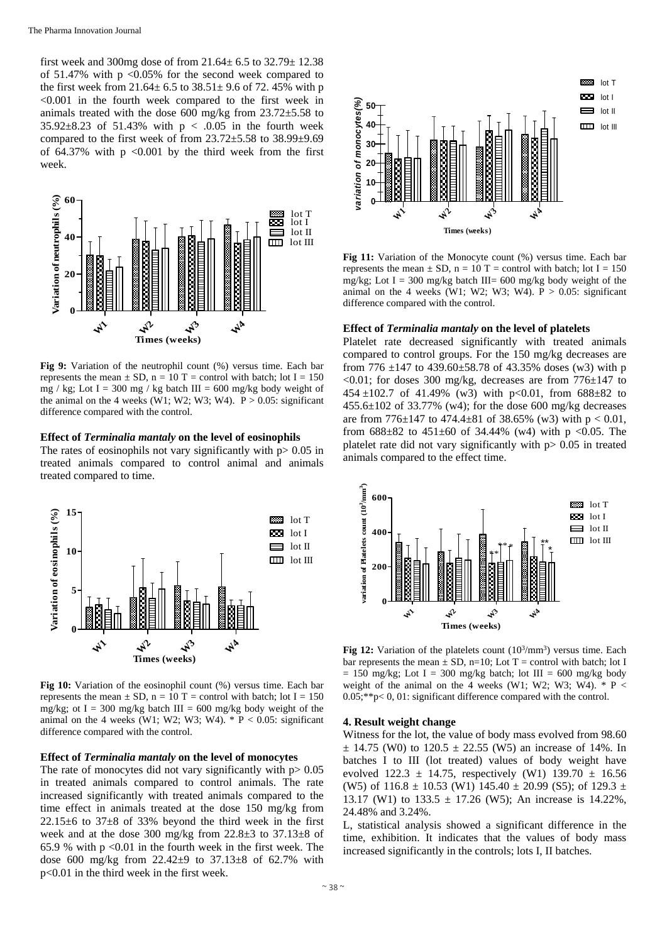first week and 300mg dose of from  $21.64 \pm 6.5$  to  $32.79 \pm 12.38$ of  $51.47\%$  with p <0.05% for the second week compared to the first week from  $21.64 \pm 6.5$  to  $38.51 \pm 9.6$  of 72.45% with p  $< 0.001$  in the fourth week compared to the first week in animals treated with the dose 600 mg/kg from 23.72±5.58 to 35.92 $\pm$ 8.23 of 51.43% with p < .0.05 in the fourth week compared to the first week of from 23.72±5.58 to 38.99±9.69 of  $64.37\%$  with p <0.001 by the third week from the first week.



**Fig 9:** Variation of the neutrophil count (%) versus time. Each bar represents the mean  $\pm$  SD, n = 10 T = control with batch; lot I = 150 mg / kg; Lot I = 300 mg / kg batch III = 600 mg/kg body weight of the animal on the 4 weeks (W1; W2; W3; W4).  $P > 0.05$ : significant difference compared with the control.

# **Effect of** *Terminalia mantaly* **on the level of eosinophils**

The rates of eosinophils not vary significantly with  $p > 0.05$  in treated animals compared to control animal and animals treated compared to time.



**Fig 10:** Variation of the eosinophil count (%) versus time. Each bar represents the mean  $\pm$  SD, n = 10 T = control with batch; lot I = 150 mg/kg; ot I = 300 mg/kg batch III = 600 mg/kg body weight of the animal on the 4 weeks (W1; W2; W3; W4).  $* P < 0.05$ : significant difference compared with the control.

# **Effect of** *Terminalia mantaly* **on the level of monocytes**

The rate of monocytes did not vary significantly with  $p > 0.05$ in treated animals compared to control animals. The rate increased significantly with treated animals compared to the time effect in animals treated at the dose 150 mg/kg from  $22.15\pm6$  to  $37\pm8$  of 33% beyond the third week in the first week and at the dose 300 mg/kg from 22.8±3 to 37.13±8 of 65.9 % with  $p \le 0.01$  in the fourth week in the first week. The dose 600 mg/kg from  $22.42 \pm 9$  to  $37.13 \pm 8$  of 62.7% with p<0.01 in the third week in the first week.



**Fig 11:** Variation of the Monocyte count (%) versus time. Each bar represents the mean  $\pm$  SD, n = 10 T = control with batch; lot I = 150 mg/kg; Lot I = 300 mg/kg batch III= 600 mg/kg body weight of the animal on the 4 weeks (W1; W2; W3; W4).  $P > 0.05$ : significant difference compared with the control.

#### **Effect of** *Terminalia mantaly* **on the level of platelets**

Platelet rate decreased significantly with treated animals compared to control groups. For the 150 mg/kg decreases are from 776  $\pm$ 147 to 439.60 $\pm$ 58.78 of 43.35% doses (w3) with p  $\langle 0.01$ ; for doses 300 mg/kg, decreases are from 776 $\pm$ 147 to 454  $\pm$ 102.7 of 41.49% (w3) with p<0.01, from 688 $\pm$ 82 to  $455.6\pm102$  of 33.77% (w4); for the dose 600 mg/kg decreases are from  $776\pm147$  to  $474.4\pm81$  of 38.65% (w3) with  $p < 0.01$ , from  $688\pm82$  to  $451\pm60$  of 34.44% (w4) with p <0.05. The platelet rate did not vary significantly with  $p > 0.05$  in treated animals compared to the effect time.



**Fig 12:** Variation of the platelets count  $(10^3/\text{mm}^3)$  versus time. Each bar represents the mean  $\pm$  SD, n=10; Lot T = control with batch; lot I  $= 150$  mg/kg; Lot I = 300 mg/kg batch; lot III = 600 mg/kg body weight of the animal on the 4 weeks (W1; W2; W3; W4).  $*$  P < 0.05;\*\*p< 0, 01: significant difference compared with the control.

#### **4. Result weight change**

Witness for the lot, the value of body mass evolved from 98.60  $\pm$  14.75 (W0) to 120.5  $\pm$  22.55 (W5) an increase of 14%. In batches I to III (lot treated) values of body weight have evolved 122.3  $\pm$  14.75, respectively (W1) 139.70  $\pm$  16.56 (W5) of  $116.8 \pm 10.53$  (W1)  $145.40 \pm 20.99$  (S5); of  $129.3 \pm 10.53$ 13.17 (W1) to  $133.5 \pm 17.26$  (W5); An increase is 14.22%, 24.48% and 3.24%.

L, statistical analysis showed a significant difference in the time, exhibition. It indicates that the values of body mass increased significantly in the controls; lots I, II batches.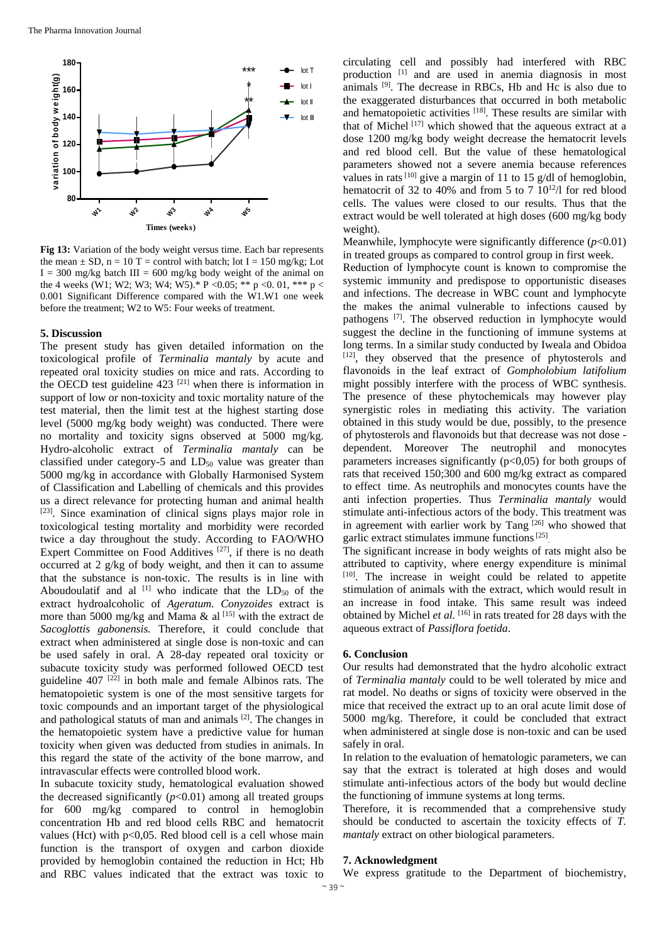

**Fig 13:** Variation of the body weight versus time. Each bar represents the mean  $\pm$  SD, n = 10 T = control with batch; lot I = 150 mg/kg; Lot  $I = 300$  mg/kg batch III = 600 mg/kg body weight of the animal on the 4 weeks (W1; W2; W3; W4; W5).\* P < 0.05; \*\* p < 0.01, \*\*\* p < 0.001 Significant Difference compared with the W1.W1 one week before the treatment; W2 to W5: Four weeks of treatment.

## **5. Discussion**

The present study has given detailed information on the toxicological profile of *Terminalia mantaly* by acute and repeated oral toxicity studies on mice and rats. According to the OECD test guideline  $423$ <sup>[21]</sup> when there is information in support of low or non-toxicity and toxic mortality nature of the test material, then the limit test at the highest starting dose level (5000 mg/kg body weight) was conducted. There were no mortality and toxicity signs observed at 5000 mg/kg. Hydro-alcoholic extract of *Terminalia mantaly* can be classified under category-5 and  $LD_{50}$  value was greater than 5000 mg/kg in accordance with Globally Harmonised System of Classification and Labelling of chemicals and this provides us a direct relevance for protecting human and animal health [23]. Since examination of clinical signs plays major role in toxicological testing mortality and morbidity were recorded twice a day throughout the study. According to FAO/WHO Expert Committee on Food Additives [27], if there is no death occurred at 2 g/kg of body weight, and then it can to assume that the substance is non-toxic. The results is in line with Aboudoulatif and al  $[1]$  who indicate that the  $LD_{50}$  of the extract hydroalcoholic of *Ageratum. Conyzoides* extract is more than 5000 mg/kg and Mama & al <a>[15]</a> with the extract de *Sacoglottis gabonensis.* Therefore, it could conclude that extract when administered at single dose is non-toxic and can be used safely in oral. A 28-day repeated oral toxicity or subacute toxicity study was performed followed OECD test guideline  $407$ <sup>[22]</sup> in both male and female Albinos rats. The hematopoietic system is one of the most sensitive targets for toxic compounds and an important target of the physiological and pathological statuts of man and animals [2]. The changes in the hematopoietic system have a predictive value for human toxicity when given was deducted from studies in animals. In this regard the state of the activity of the bone marrow, and intravascular effects were controlled blood work.

In subacute toxicity study, hematological evaluation showed the decreased significantly  $(p<0.01)$  among all treated groups for 600 mg/kg compared to control in hemoglobin concentration Hb and red blood cells RBC and hematocrit values (Hct) with  $p<0.05$ . Red blood cell is a cell whose main function is the transport of oxygen and carbon dioxide provided by hemoglobin contained the reduction in Hct; Hb and RBC values indicated that the extract was toxic to

circulating cell and possibly had interfered with RBC production [1] and are used in anemia diagnosis in most animals [9]. The decrease in RBCs, Hb and Hc is also due to the exaggerated disturbances that occurred in both metabolic and hematopoietic activities [18]. These results are similar with that of Michel [17] which showed that the aqueous extract at a dose 1200 mg/kg body weight decrease the hematocrit levels and red blood cell. But the value of these hematological parameters showed not a severe anemia because references values in rats  $^{[10]}$  give a margin of 11 to 15 g/dl of hemoglobin, hematocrit of 32 to 40% and from 5 to 7 10<sup>12</sup>/l for red blood cells. The values were closed to our results. Thus that the extract would be well tolerated at high doses (600 mg/kg body weight).

Meanwhile, lymphocyte were significantly difference ( $p<0.01$ ) in treated groups as compared to control group in first week.

Reduction of lymphocyte count is known to compromise the systemic immunity and predispose to opportunistic diseases and infections. The decrease in WBC count and lymphocyte the makes the animal vulnerable to infections caused by pathogens [7]. The observed reduction in lymphocyte would suggest the decline in the functioning of immune systems at long terms. In a similar study conducted by Iweala and Obidoa [12], they observed that the presence of phytosterols and flavonoids in the leaf extract of *Gompholobium latifolium*  might possibly interfere with the process of WBC synthesis. The presence of these phytochemicals may however play synergistic roles in mediating this activity. The variation obtained in this study would be due, possibly, to the presence of phytosterols and flavonoids but that decrease was not dose dependent. Moreover The neutrophil and monocytes parameters increases significantly  $(p<0,05)$  for both groups of rats that received 150;300 and 600 mg/kg extract as compared to effect time. As neutrophils and monocytes counts have the anti infection properties. Thus *Terminalia mantaly* would stimulate anti-infectious actors of the body. This treatment was in agreement with earlier work by Tang [26] who showed that garlic extract stimulates immune functions [25].

The significant increase in body weights of rats might also be attributed to captivity, where energy expenditure is minimal [10]. The increase in weight could be related to appetite stimulation of animals with the extract, which would result in an increase in food intake. This same result was indeed obtained by Michel *et al.* [16] in rats treated for 28 days with the aqueous extract of *Passiflora foetida*.

# **6. Conclusion**

Our results had demonstrated that the hydro alcoholic extract of *Terminalia mantaly* could to be well tolerated by mice and rat model. No deaths or signs of toxicity were observed in the mice that received the extract up to an oral acute limit dose of 5000 mg/kg. Therefore, it could be concluded that extract when administered at single dose is non-toxic and can be used safely in oral.

In relation to the evaluation of hematologic parameters, we can say that the extract is tolerated at high doses and would stimulate anti-infectious actors of the body but would decline the functioning of immune systems at long terms.

Therefore, it is recommended that a comprehensive study should be conducted to ascertain the toxicity effects of *T. mantaly* extract on other biological parameters.

# **7. Acknowledgment**

We express gratitude to the Department of biochemistry,